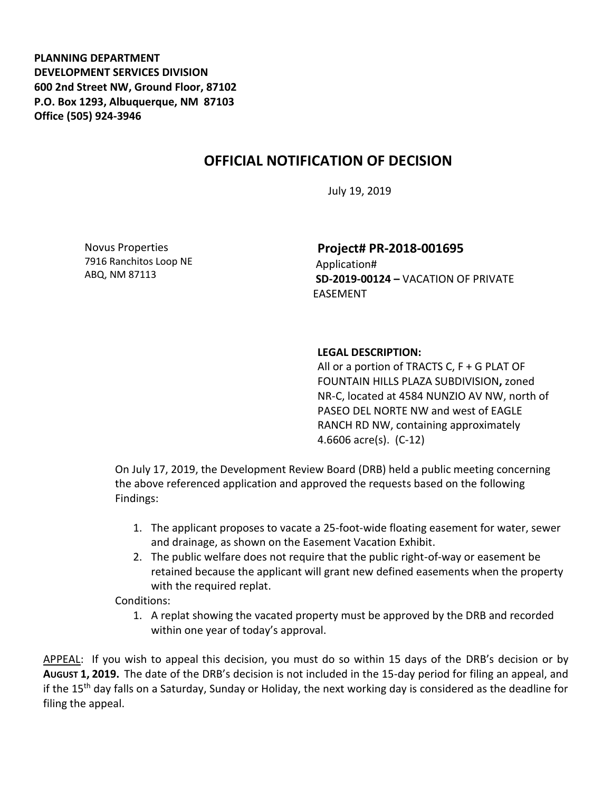**PLANNING DEPARTMENT DEVELOPMENT SERVICES DIVISION 600 2nd Street NW, Ground Floor, 87102 P.O. Box 1293, Albuquerque, NM 87103 Office (505) 924-3946** 

## **OFFICIAL NOTIFICATION OF DECISION**

July 19, 2019

Novus Properties 7916 Ranchitos Loop NE ABQ, NM 87113

**Project# PR-2018-001695**

Application# **SD-2019-00124 –** VACATION OF PRIVATE EASEMENT

## **LEGAL DESCRIPTION:**

All or a portion of TRACTS C,  $F + G$  PLAT OF FOUNTAIN HILLS PLAZA SUBDIVISION**,** zoned NR-C, located at 4584 NUNZIO AV NW, north of PASEO DEL NORTE NW and west of EAGLE RANCH RD NW, containing approximately 4.6606 acre(s). (C-12)

On July 17, 2019, the Development Review Board (DRB) held a public meeting concerning the above referenced application and approved the requests based on the following Findings:

- 1. The applicant proposes to vacate a 25-foot-wide floating easement for water, sewer and drainage, as shown on the Easement Vacation Exhibit.
- 2. The public welfare does not require that the public right-of-way or easement be retained because the applicant will grant new defined easements when the property with the required replat.

Conditions:

1. A replat showing the vacated property must be approved by the DRB and recorded within one year of today's approval.

APPEAL: If you wish to appeal this decision, you must do so within 15 days of the DRB's decision or by **AUGUST 1, 2019.** The date of the DRB's decision is not included in the 15-day period for filing an appeal, and if the 15th day falls on a Saturday, Sunday or Holiday, the next working day is considered as the deadline for filing the appeal.